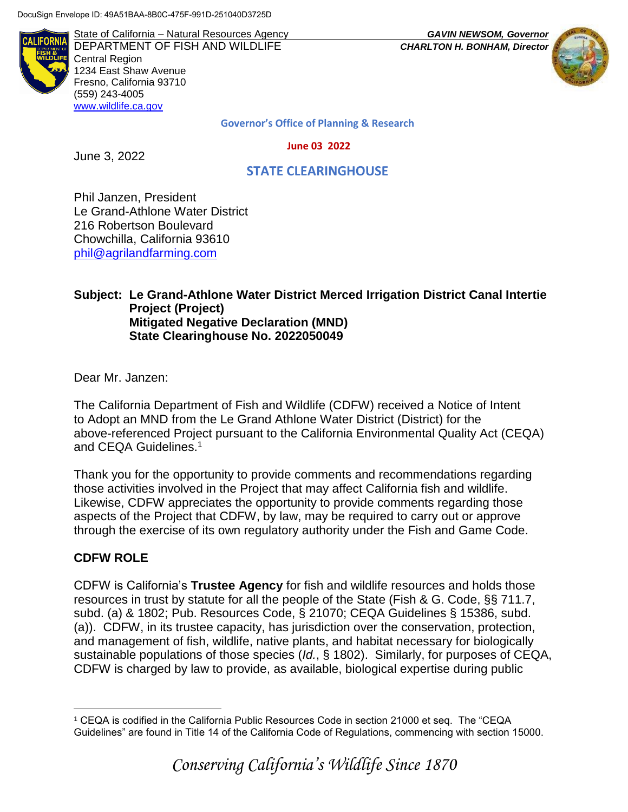State of California – Natural Resources Agency *GAVIN NEWSOM, Governor* DEPARTMENT OF FISH AND WILDLIFE *CHARLTON H. BONHAM, Director*  Central Region 1234 East Shaw Avenue Fresno, California 93710 (559) 243-4005 [www.wildlife.ca.gov](http://www.cdfw.ca.gov/)



**Governor's Office of Planning & Research**

 **June 03 2022**

June 3, 2022

 **STATE CLEARINGHOUSE**

Phil Janzen, President Le Grand-Athlone Water District 216 Robertson Boulevard Chowchilla, California 93610 [phil@agrilandfarming.com](mailto:phil@agrilandfarming.com)

#### **Subject: Le Grand-Athlone Water District Merced Irrigation District Canal Intertie Project (Project) Mitigated Negative Declaration (MND) State Clearinghouse No. 2022050049**

Dear Mr. Janzen:

The California Department of Fish and Wildlife (CDFW) received a Notice of Intent to Adopt an MND from the Le Grand Athlone Water District (District) for the above-referenced Project pursuant to the California Environmental Quality Act (CEQA) and CEQA Guidelines.<sup>1</sup>

Thank you for the opportunity to provide comments and recommendations regarding those activities involved in the Project that may affect California fish and wildlife. Likewise, CDFW appreciates the opportunity to provide comments regarding those aspects of the Project that CDFW, by law, may be required to carry out or approve through the exercise of its own regulatory authority under the Fish and Game Code.

### **CDFW ROLE**

CDFW is California's **Trustee Agency** for fish and wildlife resources and holds those resources in trust by statute for all the people of the State (Fish & G. Code, §§ 711.7, subd. (a) & 1802; Pub. Resources Code, § 21070; CEQA Guidelines § 15386, subd. (a)). CDFW, in its trustee capacity, has jurisdiction over the conservation, protection, and management of fish, wildlife, native plants, and habitat necessary for biologically sustainable populations of those species (*Id.*, § 1802). Similarly, for purposes of CEQA, CDFW is charged by law to provide, as available, biological expertise during public

 $\overline{a}$ <sup>1</sup> CEQA is codified in the California Public Resources Code in section 21000 et seq. The "CEQA Guidelines" are found in Title 14 of the California Code of Regulations, commencing with section 15000.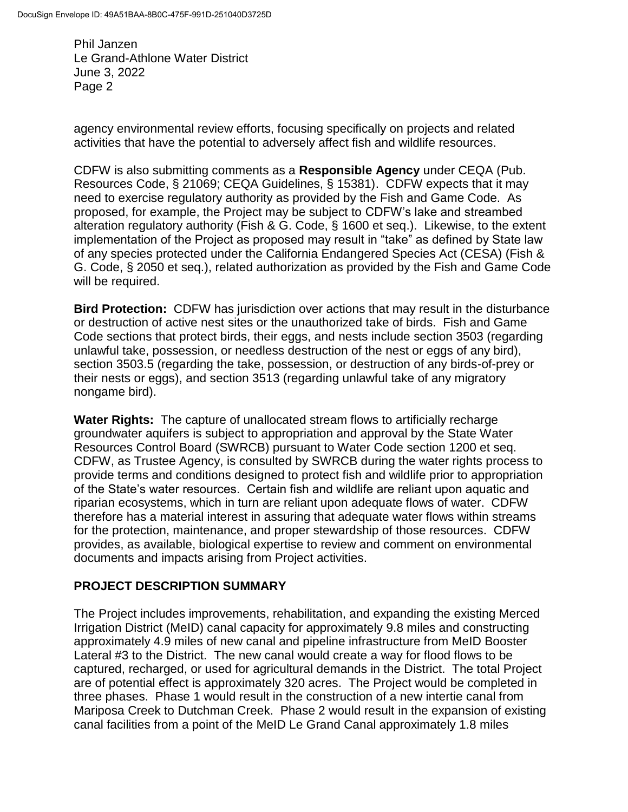agency environmental review efforts, focusing specifically on projects and related activities that have the potential to adversely affect fish and wildlife resources.

CDFW is also submitting comments as a **Responsible Agency** under CEQA (Pub. Resources Code, § 21069; CEQA Guidelines, § 15381). CDFW expects that it may need to exercise regulatory authority as provided by the Fish and Game Code. As proposed, for example, the Project may be subject to CDFW's lake and streambed alteration regulatory authority (Fish & G. Code, § 1600 et seq.). Likewise, to the extent implementation of the Project as proposed may result in "take" as defined by State law of any species protected under the California Endangered Species Act (CESA) (Fish & G. Code, § 2050 et seq.), related authorization as provided by the Fish and Game Code will be required.

**Bird Protection:** CDFW has jurisdiction over actions that may result in the disturbance or destruction of active nest sites or the unauthorized take of birds. Fish and Game Code sections that protect birds, their eggs, and nests include section 3503 (regarding unlawful take, possession, or needless destruction of the nest or eggs of any bird), section 3503.5 (regarding the take, possession, or destruction of any birds-of-prey or their nests or eggs), and section 3513 (regarding unlawful take of any migratory nongame bird).

**Water Rights:** The capture of unallocated stream flows to artificially recharge groundwater aquifers is subject to appropriation and approval by the State Water Resources Control Board (SWRCB) pursuant to Water Code section 1200 et seq. CDFW, as Trustee Agency, is consulted by SWRCB during the water rights process to provide terms and conditions designed to protect fish and wildlife prior to appropriation of the State's water resources. Certain fish and wildlife are reliant upon aquatic and riparian ecosystems, which in turn are reliant upon adequate flows of water. CDFW therefore has a material interest in assuring that adequate water flows within streams for the protection, maintenance, and proper stewardship of those resources. CDFW provides, as available, biological expertise to review and comment on environmental documents and impacts arising from Project activities.

# **PROJECT DESCRIPTION SUMMARY**

The Project includes improvements, rehabilitation, and expanding the existing Merced Irrigation District (MeID) canal capacity for approximately 9.8 miles and constructing approximately 4.9 miles of new canal and pipeline infrastructure from MeID Booster Lateral #3 to the District. The new canal would create a way for flood flows to be captured, recharged, or used for agricultural demands in the District. The total Project are of potential effect is approximately 320 acres. The Project would be completed in three phases. Phase 1 would result in the construction of a new intertie canal from Mariposa Creek to Dutchman Creek. Phase 2 would result in the expansion of existing canal facilities from a point of the MeID Le Grand Canal approximately 1.8 miles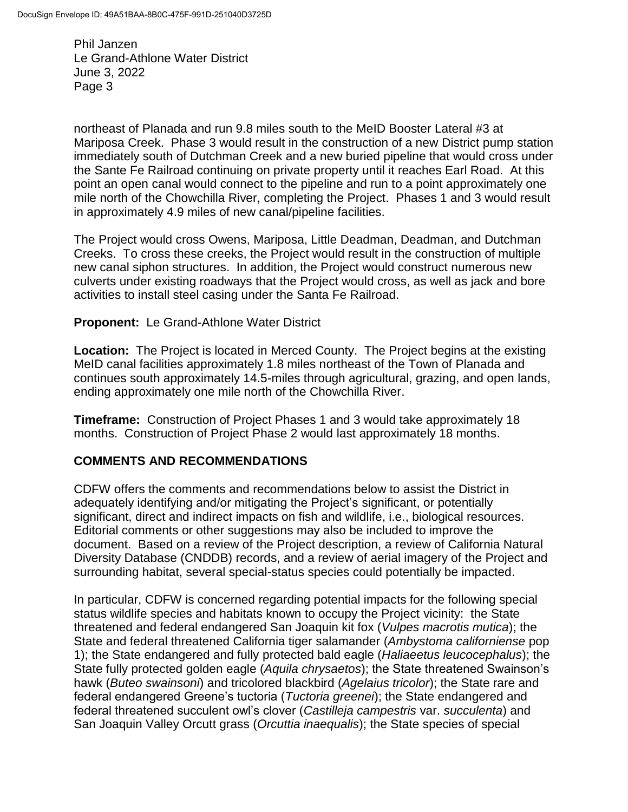northeast of Planada and run 9.8 miles south to the MeID Booster Lateral #3 at Mariposa Creek. Phase 3 would result in the construction of a new District pump station immediately south of Dutchman Creek and a new buried pipeline that would cross under the Sante Fe Railroad continuing on private property until it reaches Earl Road. At this point an open canal would connect to the pipeline and run to a point approximately one mile north of the Chowchilla River, completing the Project. Phases 1 and 3 would result in approximately 4.9 miles of new canal/pipeline facilities.

The Project would cross Owens, Mariposa, Little Deadman, Deadman, and Dutchman Creeks. To cross these creeks, the Project would result in the construction of multiple new canal siphon structures. In addition, the Project would construct numerous new culverts under existing roadways that the Project would cross, as well as jack and bore activities to install steel casing under the Santa Fe Railroad.

#### **Proponent:** Le Grand-Athlone Water District

**Location:** The Project is located in Merced County. The Project begins at the existing MeID canal facilities approximately 1.8 miles northeast of the Town of Planada and continues south approximately 14.5-miles through agricultural, grazing, and open lands, ending approximately one mile north of the Chowchilla River.

**Timeframe:** Construction of Project Phases 1 and 3 would take approximately 18 months. Construction of Project Phase 2 would last approximately 18 months.

### **COMMENTS AND RECOMMENDATIONS**

CDFW offers the comments and recommendations below to assist the District in adequately identifying and/or mitigating the Project's significant, or potentially significant, direct and indirect impacts on fish and wildlife, i.e., biological resources. Editorial comments or other suggestions may also be included to improve the document. Based on a review of the Project description, a review of California Natural Diversity Database (CNDDB) records, and a review of aerial imagery of the Project and surrounding habitat, several special-status species could potentially be impacted.

In particular, CDFW is concerned regarding potential impacts for the following special status wildlife species and habitats known to occupy the Project vicinity: the State threatened and federal endangered San Joaquin kit fox (*Vulpes macrotis mutica*); the State and federal threatened California tiger salamander (*Ambystoma californiense* pop 1); the State endangered and fully protected bald eagle (*Haliaeetus leucocephalus*); the State fully protected golden eagle (*Aquila chrysaetos*); the State threatened Swainson's hawk (*Buteo swainsoni*) and tricolored blackbird (*Agelaius tricolor*); the State rare and federal endangered Greene's tuctoria (*Tuctoria greenei*); the State endangered and federal threatened succulent owl's clover (*Castilleja campestris* var. *succulenta*) and San Joaquin Valley Orcutt grass (*Orcuttia inaequalis*); the State species of special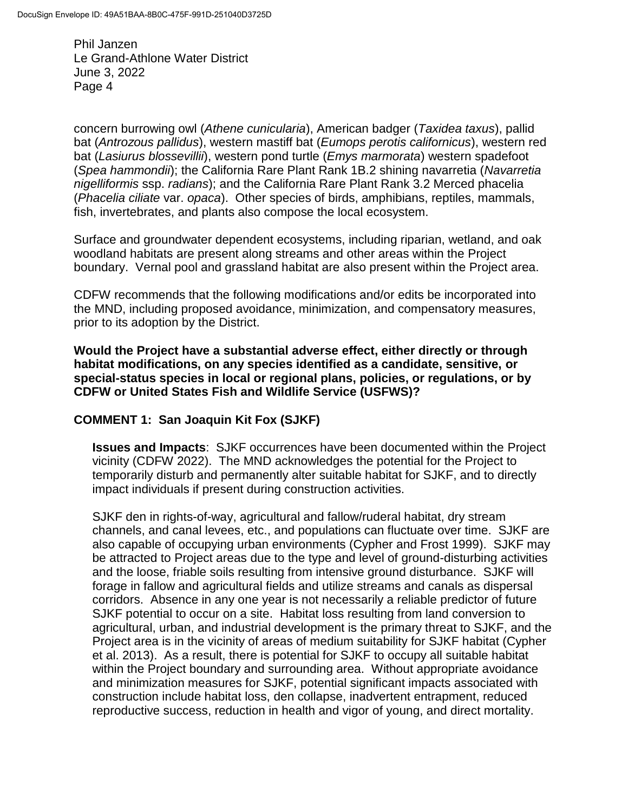concern burrowing owl (*Athene cunicularia*), American badger (*Taxidea taxus*), pallid bat (*Antrozous pallidus*), western mastiff bat (*Eumops perotis californicus*), western red bat (*Lasiurus blossevillii*), western pond turtle (*Emys marmorata*) western spadefoot (*Spea hammondii*); the California Rare Plant Rank 1B.2 shining navarretia (*Navarretia nigelliformis* ssp. *radians*); and the California Rare Plant Rank 3.2 Merced phacelia (*Phacelia ciliate* var. *opaca*). Other species of birds, amphibians, reptiles, mammals, fish, invertebrates, and plants also compose the local ecosystem.

Surface and groundwater dependent ecosystems, including riparian, wetland, and oak woodland habitats are present along streams and other areas within the Project boundary. Vernal pool and grassland habitat are also present within the Project area.

CDFW recommends that the following modifications and/or edits be incorporated into the MND, including proposed avoidance, minimization, and compensatory measures, prior to its adoption by the District.

**Would the Project have a substantial adverse effect, either directly or through habitat modifications, on any species identified as a candidate, sensitive, or special-status species in local or regional plans, policies, or regulations, or by CDFW or United States Fish and Wildlife Service (USFWS)?**

### **COMMENT 1: San Joaquin Kit Fox (SJKF)**

**Issues and Impacts**: SJKF occurrences have been documented within the Project vicinity (CDFW 2022). The MND acknowledges the potential for the Project to temporarily disturb and permanently alter suitable habitat for SJKF, and to directly impact individuals if present during construction activities.

SJKF den in rights-of-way, agricultural and fallow/ruderal habitat, dry stream channels, and canal levees, etc., and populations can fluctuate over time. SJKF are also capable of occupying urban environments (Cypher and Frost 1999). SJKF may be attracted to Project areas due to the type and level of ground-disturbing activities and the loose, friable soils resulting from intensive ground disturbance. SJKF will forage in fallow and agricultural fields and utilize streams and canals as dispersal corridors. Absence in any one year is not necessarily a reliable predictor of future SJKF potential to occur on a site. Habitat loss resulting from land conversion to agricultural, urban, and industrial development is the primary threat to SJKF, and the Project area is in the vicinity of areas of medium suitability for SJKF habitat (Cypher et al. 2013). As a result, there is potential for SJKF to occupy all suitable habitat within the Project boundary and surrounding area. Without appropriate avoidance and minimization measures for SJKF, potential significant impacts associated with construction include habitat loss, den collapse, inadvertent entrapment, reduced reproductive success, reduction in health and vigor of young, and direct mortality.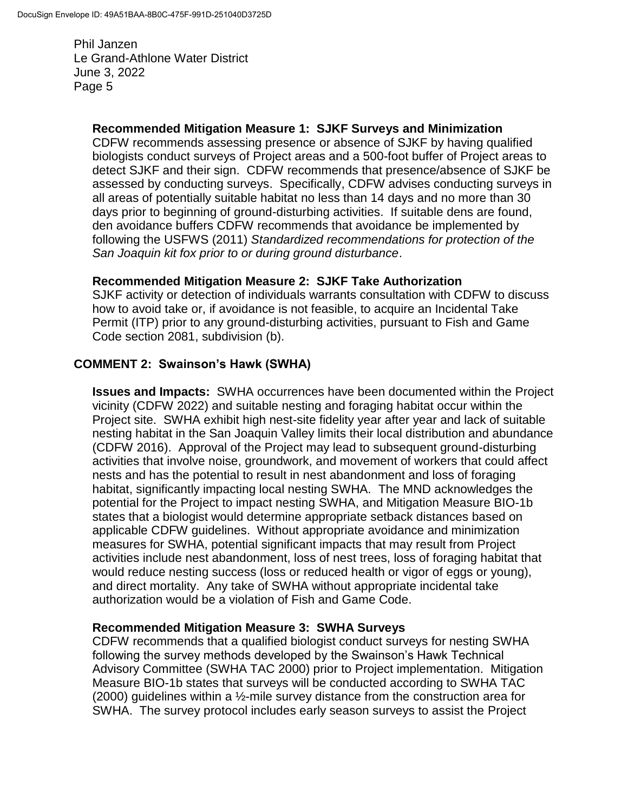### **Recommended Mitigation Measure 1: SJKF Surveys and Minimization**

CDFW recommends assessing presence or absence of SJKF by having qualified biologists conduct surveys of Project areas and a 500-foot buffer of Project areas to detect SJKF and their sign. CDFW recommends that presence/absence of SJKF be assessed by conducting surveys. Specifically, CDFW advises conducting surveys in all areas of potentially suitable habitat no less than 14 days and no more than 30 days prior to beginning of ground-disturbing activities. If suitable dens are found, den avoidance buffers CDFW recommends that avoidance be implemented by following the USFWS (2011) *Standardized recommendations for protection of the San Joaquin kit fox prior to or during ground disturbance*.

### **Recommended Mitigation Measure 2: SJKF Take Authorization**

SJKF activity or detection of individuals warrants consultation with CDFW to discuss how to avoid take or, if avoidance is not feasible, to acquire an Incidental Take Permit (ITP) prior to any ground-disturbing activities, pursuant to Fish and Game Code section 2081, subdivision (b).

### **COMMENT 2: Swainson's Hawk (SWHA)**

**Issues and Impacts:** SWHA occurrences have been documented within the Project vicinity (CDFW 2022) and suitable nesting and foraging habitat occur within the Project site.SWHA exhibit high nest-site fidelity year after year and lack of suitable nesting habitat in the San Joaquin Valley limits their local distribution and abundance (CDFW 2016). Approval of the Project may lead to subsequent ground-disturbing activities that involve noise, groundwork, and movement of workers that could affect nests and has the potential to result in nest abandonment and loss of foraging habitat, significantly impacting local nesting SWHA. The MND acknowledges the potential for the Project to impact nesting SWHA, and Mitigation Measure BIO-1b states that a biologist would determine appropriate setback distances based on applicable CDFW guidelines. Without appropriate avoidance and minimization measures for SWHA, potential significant impacts that may result from Project activities include nest abandonment, loss of nest trees, loss of foraging habitat that would reduce nesting success (loss or reduced health or vigor of eggs or young), and direct mortality. Any take of SWHA without appropriate incidental take authorization would be a violation of Fish and Game Code.

### **Recommended Mitigation Measure 3: SWHA Surveys**

CDFW recommends that a qualified biologist conduct surveys for nesting SWHA following the survey methods developed by the Swainson's Hawk Technical Advisory Committee (SWHA TAC 2000) prior to Project implementation. Mitigation Measure BIO-1b states that surveys will be conducted according to SWHA TAC (2000) guidelines within a ½-mile survey distance from the construction area for SWHA. The survey protocol includes early season surveys to assist the Project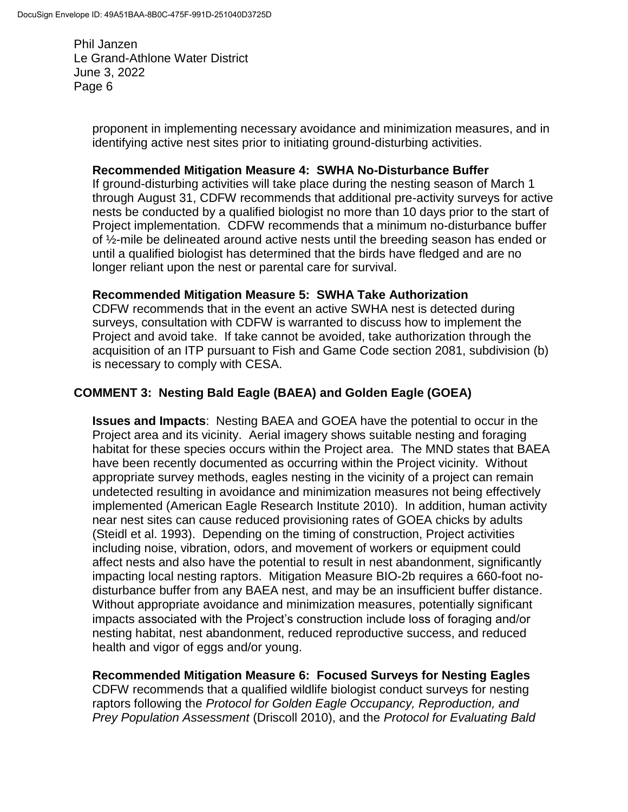> proponent in implementing necessary avoidance and minimization measures, and in identifying active nest sites prior to initiating ground-disturbing activities.

#### **Recommended Mitigation Measure 4: SWHA No-Disturbance Buffer**

If ground-disturbing activities will take place during the nesting season of March 1 through August 31, CDFW recommends that additional pre-activity surveys for active nests be conducted by a qualified biologist no more than 10 days prior to the start of Project implementation. CDFW recommends that a minimum no-disturbance buffer of ½-mile be delineated around active nests until the breeding season has ended or until a qualified biologist has determined that the birds have fledged and are no longer reliant upon the nest or parental care for survival.

### **Recommended Mitigation Measure 5: SWHA Take Authorization**

CDFW recommends that in the event an active SWHA nest is detected during surveys, consultation with CDFW is warranted to discuss how to implement the Project and avoid take. If take cannot be avoided, take authorization through the acquisition of an ITP pursuant to Fish and Game Code section 2081, subdivision (b) is necessary to comply with CESA.

# **COMMENT 3: Nesting Bald Eagle (BAEA) and Golden Eagle (GOEA)**

**Issues and Impacts**: Nesting BAEA and GOEA have the potential to occur in the Project area and its vicinity. Aerial imagery shows suitable nesting and foraging habitat for these species occurs within the Project area. The MND states that BAEA have been recently documented as occurring within the Project vicinity. Without appropriate survey methods, eagles nesting in the vicinity of a project can remain undetected resulting in avoidance and minimization measures not being effectively implemented (American Eagle Research Institute 2010). In addition, human activity near nest sites can cause reduced provisioning rates of GOEA chicks by adults (Steidl et al. 1993). Depending on the timing of construction, Project activities including noise, vibration, odors, and movement of workers or equipment could affect nests and also have the potential to result in nest abandonment, significantly impacting local nesting raptors. Mitigation Measure BIO-2b requires a 660-foot nodisturbance buffer from any BAEA nest, and may be an insufficient buffer distance. Without appropriate avoidance and minimization measures, potentially significant impacts associated with the Project's construction include loss of foraging and/or nesting habitat, nest abandonment, reduced reproductive success, and reduced health and vigor of eggs and/or young.

**Recommended Mitigation Measure 6: Focused Surveys for Nesting Eagles** CDFW recommends that a qualified wildlife biologist conduct surveys for nesting raptors following the *Protocol for Golden Eagle Occupancy, Reproduction, and Prey Population Assessment* (Driscoll 2010), and the *Protocol for Evaluating Bald*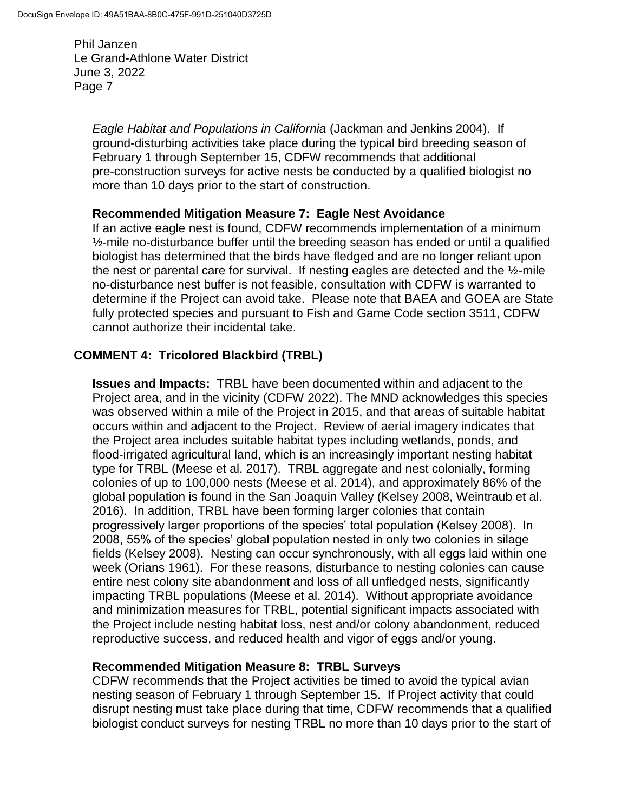> *Eagle Habitat and Populations in California* (Jackman and Jenkins 2004). If ground-disturbing activities take place during the typical bird breeding season of February 1 through September 15, CDFW recommends that additional pre-construction surveys for active nests be conducted by a qualified biologist no more than 10 days prior to the start of construction.

### **Recommended Mitigation Measure 7: Eagle Nest Avoidance**

If an active eagle nest is found, CDFW recommends implementation of a minimum ½-mile no-disturbance buffer until the breeding season has ended or until a qualified biologist has determined that the birds have fledged and are no longer reliant upon the nest or parental care for survival. If nesting eagles are detected and the ½-mile no-disturbance nest buffer is not feasible, consultation with CDFW is warranted to determine if the Project can avoid take. Please note that BAEA and GOEA are State fully protected species and pursuant to Fish and Game Code section 3511, CDFW cannot authorize their incidental take.

# **COMMENT 4: Tricolored Blackbird (TRBL)**

**Issues and Impacts:** TRBL have been documented within and adjacent to the Project area, and in the vicinity (CDFW 2022). The MND acknowledges this species was observed within a mile of the Project in 2015, and that areas of suitable habitat occurs within and adjacent to the Project. Review of aerial imagery indicates that the Project area includes suitable habitat types including wetlands, ponds, and flood-irrigated agricultural land, which is an increasingly important nesting habitat type for TRBL (Meese et al. 2017). TRBL aggregate and nest colonially, forming colonies of up to 100,000 nests (Meese et al. 2014), and approximately 86% of the global population is found in the San Joaquin Valley (Kelsey 2008, Weintraub et al. 2016). In addition, TRBL have been forming larger colonies that contain progressively larger proportions of the species' total population (Kelsey 2008). In 2008, 55% of the species' global population nested in only two colonies in silage fields (Kelsey 2008). Nesting can occur synchronously, with all eggs laid within one week (Orians 1961). For these reasons, disturbance to nesting colonies can cause entire nest colony site abandonment and loss of all unfledged nests, significantly impacting TRBL populations (Meese et al. 2014). Without appropriate avoidance and minimization measures for TRBL, potential significant impacts associated with the Project include nesting habitat loss, nest and/or colony abandonment, reduced reproductive success, and reduced health and vigor of eggs and/or young.

# **Recommended Mitigation Measure 8: TRBL Surveys**

CDFW recommends that the Project activities be timed to avoid the typical avian nesting season of February 1 through September 15. If Project activity that could disrupt nesting must take place during that time, CDFW recommends that a qualified biologist conduct surveys for nesting TRBL no more than 10 days prior to the start of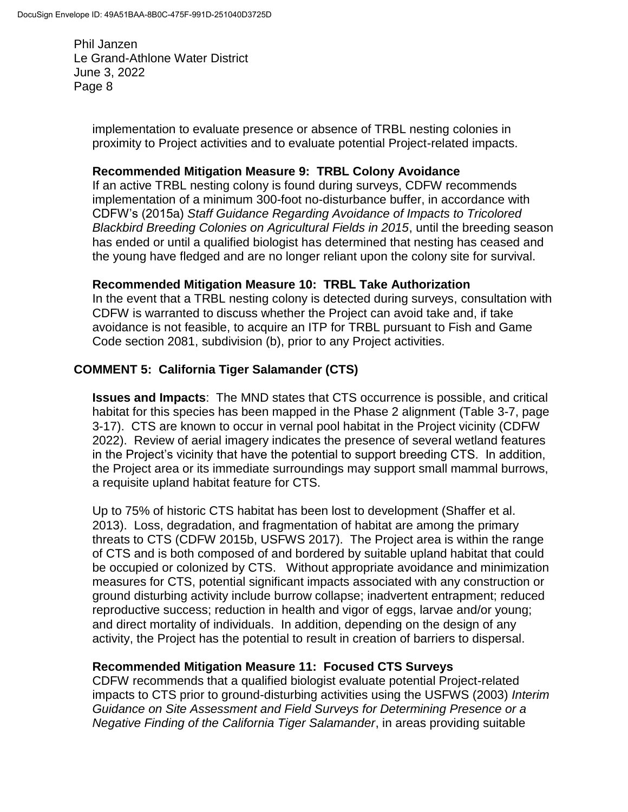> implementation to evaluate presence or absence of TRBL nesting colonies in proximity to Project activities and to evaluate potential Project-related impacts.

### **Recommended Mitigation Measure 9: TRBL Colony Avoidance**

If an active TRBL nesting colony is found during surveys, CDFW recommends implementation of a minimum 300-foot no-disturbance buffer, in accordance with CDFW's (2015a) *Staff Guidance Regarding Avoidance of Impacts to Tricolored Blackbird Breeding Colonies on Agricultural Fields in 2015*, until the breeding season has ended or until a qualified biologist has determined that nesting has ceased and the young have fledged and are no longer reliant upon the colony site for survival.

### **Recommended Mitigation Measure 10: TRBL Take Authorization**

In the event that a TRBL nesting colony is detected during surveys, consultation with CDFW is warranted to discuss whether the Project can avoid take and, if take avoidance is not feasible, to acquire an ITP for TRBL pursuant to Fish and Game Code section 2081, subdivision (b), prior to any Project activities.

# **COMMENT 5: California Tiger Salamander (CTS)**

**Issues and Impacts**: The MND states that CTS occurrence is possible, and critical habitat for this species has been mapped in the Phase 2 alignment (Table 3-7, page 3-17). CTS are known to occur in vernal pool habitat in the Project vicinity (CDFW 2022). Review of aerial imagery indicates the presence of several wetland features in the Project's vicinity that have the potential to support breeding CTS. In addition, the Project area or its immediate surroundings may support small mammal burrows, a requisite upland habitat feature for CTS.

Up to 75% of historic CTS habitat has been lost to development (Shaffer et al. 2013). Loss, degradation, and fragmentation of habitat are among the primary threats to CTS (CDFW 2015b, USFWS 2017). The Project area is within the range of CTS and is both composed of and bordered by suitable upland habitat that could be occupied or colonized by CTS. Without appropriate avoidance and minimization measures for CTS, potential significant impacts associated with any construction or ground disturbing activity include burrow collapse; inadvertent entrapment; reduced reproductive success; reduction in health and vigor of eggs, larvae and/or young; and direct mortality of individuals. In addition, depending on the design of any activity, the Project has the potential to result in creation of barriers to dispersal.

### **Recommended Mitigation Measure 11: Focused CTS Surveys**

CDFW recommends that a qualified biologist evaluate potential Project-related impacts to CTS prior to ground-disturbing activities using the USFWS (2003) *Interim Guidance on Site Assessment and Field Surveys for Determining Presence or a Negative Finding of the California Tiger Salamander*, in areas providing suitable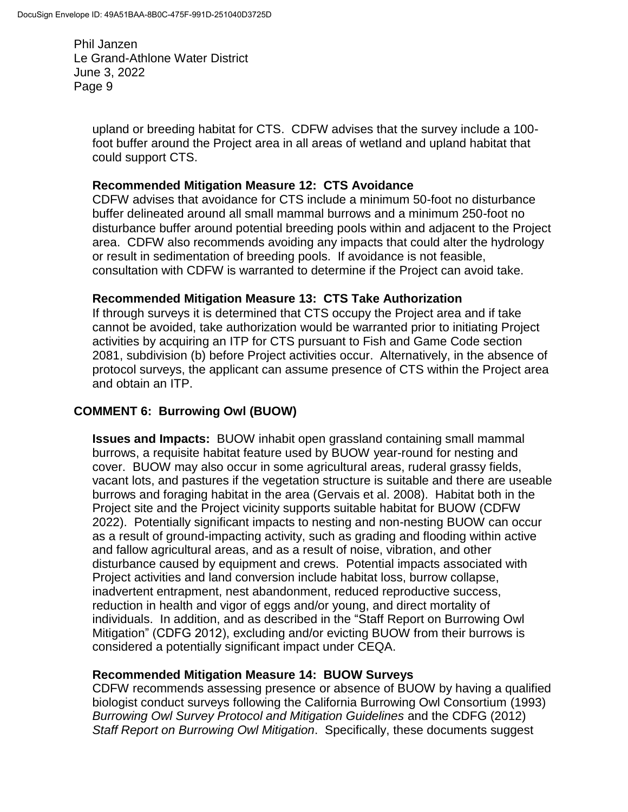> upland or breeding habitat for CTS. CDFW advises that the survey include a 100 foot buffer around the Project area in all areas of wetland and upland habitat that could support CTS.

### **Recommended Mitigation Measure 12: CTS Avoidance**

CDFW advises that avoidance for CTS include a minimum 50-foot no disturbance buffer delineated around all small mammal burrows and a minimum 250-foot no disturbance buffer around potential breeding pools within and adjacent to the Project area. CDFW also recommends avoiding any impacts that could alter the hydrology or result in sedimentation of breeding pools. If avoidance is not feasible, consultation with CDFW is warranted to determine if the Project can avoid take.

### **Recommended Mitigation Measure 13: CTS Take Authorization**

If through surveys it is determined that CTS occupy the Project area and if take cannot be avoided, take authorization would be warranted prior to initiating Project activities by acquiring an ITP for CTS pursuant to Fish and Game Code section 2081, subdivision (b) before Project activities occur. Alternatively, in the absence of protocol surveys, the applicant can assume presence of CTS within the Project area and obtain an ITP.

# **COMMENT 6: Burrowing Owl (BUOW)**

**Issues and Impacts:** BUOW inhabit open grassland containing small mammal burrows, a requisite habitat feature used by BUOW year-round for nesting and cover. BUOW may also occur in some agricultural areas, ruderal grassy fields, vacant lots, and pastures if the vegetation structure is suitable and there are useable burrows and foraging habitat in the area (Gervais et al. 2008). Habitat both in the Project site and the Project vicinity supports suitable habitat for BUOW (CDFW 2022). Potentially significant impacts to nesting and non-nesting BUOW can occur as a result of ground-impacting activity, such as grading and flooding within active and fallow agricultural areas, and as a result of noise, vibration, and other disturbance caused by equipment and crews. Potential impacts associated with Project activities and land conversion include habitat loss, burrow collapse, inadvertent entrapment, nest abandonment, reduced reproductive success, reduction in health and vigor of eggs and/or young, and direct mortality of individuals. In addition, and as described in the "Staff Report on Burrowing Owl Mitigation" (CDFG 2012), excluding and/or evicting BUOW from their burrows is considered a potentially significant impact under CEQA.

### **Recommended Mitigation Measure 14: BUOW Surveys**

CDFW recommends assessing presence or absence of BUOW by having a qualified biologist conduct surveys following the California Burrowing Owl Consortium (1993) *Burrowing Owl Survey Protocol and Mitigation Guidelines* and the CDFG (2012) *Staff Report on Burrowing Owl Mitigation*. Specifically, these documents suggest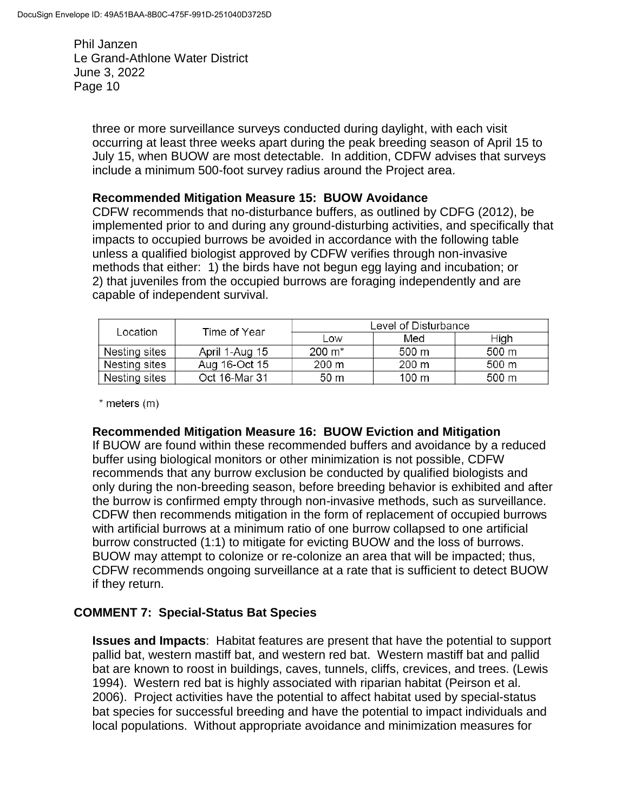> three or more surveillance surveys conducted during daylight, with each visit occurring at least three weeks apart during the peak breeding season of April 15 to July 15, when BUOW are most detectable. In addition, CDFW advises that surveys include a minimum 500-foot survey radius around the Project area.

#### **Recommended Mitigation Measure 15: BUOW Avoidance**

CDFW recommends that no-disturbance buffers, as outlined by CDFG (2012), be implemented prior to and during any ground-disturbing activities, and specifically that impacts to occupied burrows be avoided in accordance with the following table unless a qualified biologist approved by CDFW verifies through non-invasive methods that either: 1) the birds have not begun egg laying and incubation; or 2) that juveniles from the occupied burrows are foraging independently and are capable of independent survival.

| Location      | Time of Year   | Level of Disturbance |       |       |
|---------------|----------------|----------------------|-------|-------|
|               |                | Low                  | Med   | High  |
| Nesting sites | April 1-Aug 15 | 200 m <sup>*</sup>   | 500 m | 500 m |
| Nesting sites | Aug 16-Oct 15  | 200 m                | 200 m | 500 m |
| Nesting sites | Oct 16-Mar 31  | 50 m                 | 100 m | 500 m |

\* meters (m)

### **Recommended Mitigation Measure 16: BUOW Eviction and Mitigation**

If BUOW are found within these recommended buffers and avoidance by a reduced buffer using biological monitors or other minimization is not possible, CDFW recommends that any burrow exclusion be conducted by qualified biologists and only during the non-breeding season, before breeding behavior is exhibited and after the burrow is confirmed empty through non-invasive methods, such as surveillance. CDFW then recommends mitigation in the form of replacement of occupied burrows with artificial burrows at a minimum ratio of one burrow collapsed to one artificial burrow constructed (1:1) to mitigate for evicting BUOW and the loss of burrows. BUOW may attempt to colonize or re-colonize an area that will be impacted; thus, CDFW recommends ongoing surveillance at a rate that is sufficient to detect BUOW if they return.

### **COMMENT 7: Special-Status Bat Species**

**Issues and Impacts**: Habitat features are present that have the potential to support pallid bat, western mastiff bat, and western red bat. Western mastiff bat and pallid bat are known to roost in buildings, caves, tunnels, cliffs, crevices, and trees. (Lewis 1994). Western red bat is highly associated with riparian habitat (Peirson et al. 2006). Project activities have the potential to affect habitat used by special-status bat species for successful breeding and have the potential to impact individuals and local populations. Without appropriate avoidance and minimization measures for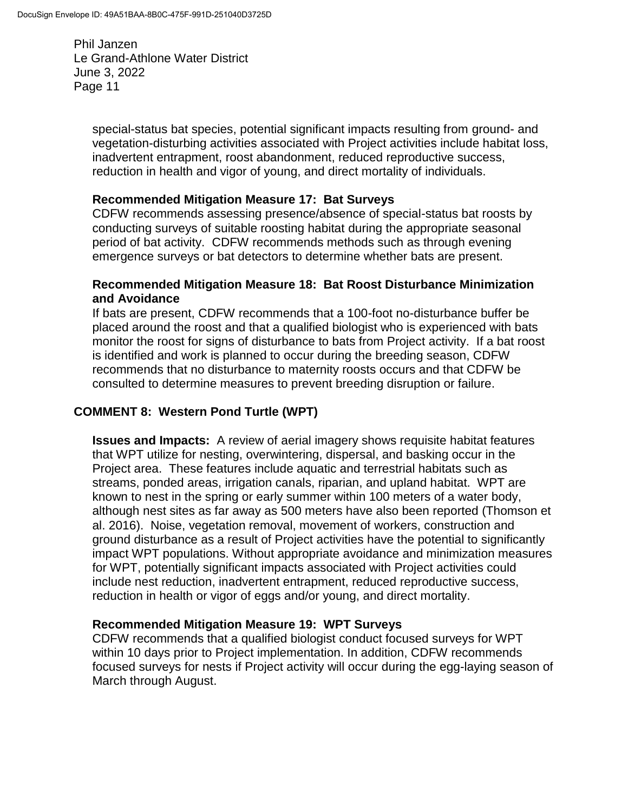> special-status bat species, potential significant impacts resulting from ground- and vegetation-disturbing activities associated with Project activities include habitat loss, inadvertent entrapment, roost abandonment, reduced reproductive success, reduction in health and vigor of young, and direct mortality of individuals.

### **Recommended Mitigation Measure 17: Bat Surveys**

CDFW recommends assessing presence/absence of special-status bat roosts by conducting surveys of suitable roosting habitat during the appropriate seasonal period of bat activity. CDFW recommends methods such as through evening emergence surveys or bat detectors to determine whether bats are present.

### **Recommended Mitigation Measure 18: Bat Roost Disturbance Minimization and Avoidance**

If bats are present, CDFW recommends that a 100-foot no-disturbance buffer be placed around the roost and that a qualified biologist who is experienced with bats monitor the roost for signs of disturbance to bats from Project activity. If a bat roost is identified and work is planned to occur during the breeding season, CDFW recommends that no disturbance to maternity roosts occurs and that CDFW be consulted to determine measures to prevent breeding disruption or failure.

# **COMMENT 8: Western Pond Turtle (WPT)**

**Issues and Impacts:** A review of aerial imagery shows requisite habitat features that WPT utilize for nesting, overwintering, dispersal, and basking occur in the Project area. These features include aquatic and terrestrial habitats such as streams, ponded areas, irrigation canals, riparian, and upland habitat. WPT are known to nest in the spring or early summer within 100 meters of a water body, although nest sites as far away as 500 meters have also been reported (Thomson et al. 2016). Noise, vegetation removal, movement of workers, construction and ground disturbance as a result of Project activities have the potential to significantly impact WPT populations. Without appropriate avoidance and minimization measures for WPT, potentially significant impacts associated with Project activities could include nest reduction, inadvertent entrapment, reduced reproductive success, reduction in health or vigor of eggs and/or young, and direct mortality.

### **Recommended Mitigation Measure 19: WPT Surveys**

CDFW recommends that a qualified biologist conduct focused surveys for WPT within 10 days prior to Project implementation. In addition, CDFW recommends focused surveys for nests if Project activity will occur during the egg-laying season of March through August.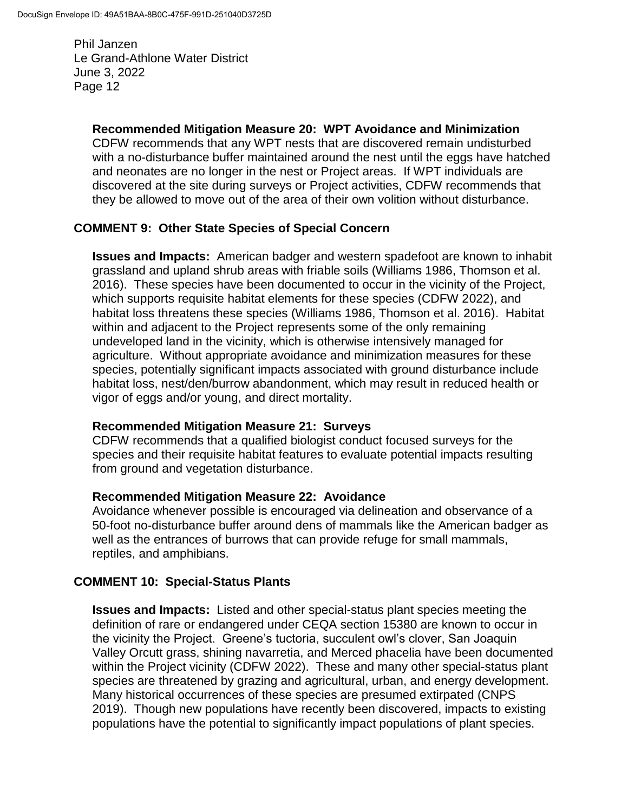# **Recommended Mitigation Measure 20: WPT Avoidance and Minimization**

CDFW recommends that any WPT nests that are discovered remain undisturbed with a no-disturbance buffer maintained around the nest until the eggs have hatched and neonates are no longer in the nest or Project areas. If WPT individuals are discovered at the site during surveys or Project activities, CDFW recommends that they be allowed to move out of the area of their own volition without disturbance.

### **COMMENT 9: Other State Species of Special Concern**

**Issues and Impacts:** American badger and western spadefoot are known to inhabit grassland and upland shrub areas with friable soils (Williams 1986, Thomson et al. 2016). These species have been documented to occur in the vicinity of the Project, which supports requisite habitat elements for these species (CDFW 2022), and habitat loss threatens these species (Williams 1986, Thomson et al. 2016). Habitat within and adjacent to the Project represents some of the only remaining undeveloped land in the vicinity, which is otherwise intensively managed for agriculture. Without appropriate avoidance and minimization measures for these species, potentially significant impacts associated with ground disturbance include habitat loss, nest/den/burrow abandonment, which may result in reduced health or vigor of eggs and/or young, and direct mortality.

### **Recommended Mitigation Measure 21: Surveys**

CDFW recommends that a qualified biologist conduct focused surveys for the species and their requisite habitat features to evaluate potential impacts resulting from ground and vegetation disturbance.

### **Recommended Mitigation Measure 22: Avoidance**

Avoidance whenever possible is encouraged via delineation and observance of a 50-foot no-disturbance buffer around dens of mammals like the American badger as well as the entrances of burrows that can provide refuge for small mammals, reptiles, and amphibians.

# **COMMENT 10: Special-Status Plants**

**Issues and Impacts:** Listed and other special-status plant species meeting the definition of rare or endangered under CEQA section 15380 are known to occur in the vicinity the Project. Greene's tuctoria, succulent owl's clover, San Joaquin Valley Orcutt grass, shining navarretia, and Merced phacelia have been documented within the Project vicinity (CDFW 2022). These and many other special-status plant species are threatened by grazing and agricultural, urban, and energy development. Many historical occurrences of these species are presumed extirpated (CNPS 2019). Though new populations have recently been discovered, impacts to existing populations have the potential to significantly impact populations of plant species.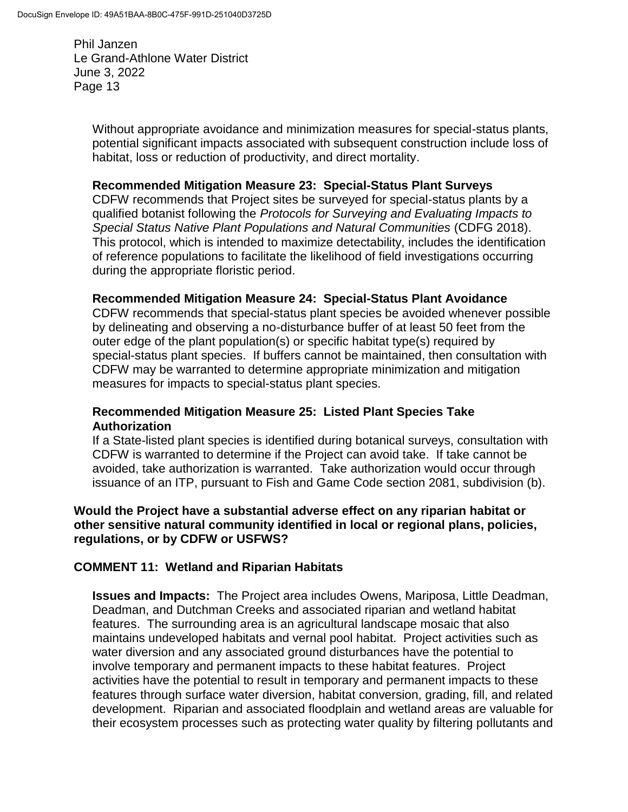> Without appropriate avoidance and minimization measures for special-status plants, potential significant impacts associated with subsequent construction include loss of habitat, loss or reduction of productivity, and direct mortality.

#### **Recommended Mitigation Measure 23: Special-Status Plant Surveys**

CDFW recommends that Project sites be surveyed for special-status plants by a qualified botanist following the *Protocols for Surveying and Evaluating Impacts to Special Status Native Plant Populations and Natural Communities* (CDFG 2018). This protocol, which is intended to maximize detectability, includes the identification of reference populations to facilitate the likelihood of field investigations occurring during the appropriate floristic period.

### **Recommended Mitigation Measure 24: Special-Status Plant Avoidance**

CDFW recommends that special-status plant species be avoided whenever possible by delineating and observing a no-disturbance buffer of at least 50 feet from the outer edge of the plant population(s) or specific habitat type(s) required by special-status plant species. If buffers cannot be maintained, then consultation with CDFW may be warranted to determine appropriate minimization and mitigation measures for impacts to special-status plant species.

### **Recommended Mitigation Measure 25: Listed Plant Species Take Authorization**

If a State-listed plant species is identified during botanical surveys, consultation with CDFW is warranted to determine if the Project can avoid take. If take cannot be avoided, take authorization is warranted. Take authorization would occur through issuance of an ITP, pursuant to Fish and Game Code section 2081, subdivision (b).

#### **Would the Project have a substantial adverse effect on any riparian habitat or other sensitive natural community identified in local or regional plans, policies, regulations, or by CDFW or USFWS?**

### **COMMENT 11: Wetland and Riparian Habitats**

**Issues and Impacts:** The Project area includes Owens, Mariposa, Little Deadman, Deadman, and Dutchman Creeks and associated riparian and wetland habitat features. The surrounding area is an agricultural landscape mosaic that also maintains undeveloped habitats and vernal pool habitat. Project activities such as water diversion and any associated ground disturbances have the potential to involve temporary and permanent impacts to these habitat features. Project activities have the potential to result in temporary and permanent impacts to these features through surface water diversion, habitat conversion, grading, fill, and related development. Riparian and associated floodplain and wetland areas are valuable for their ecosystem processes such as protecting water quality by filtering pollutants and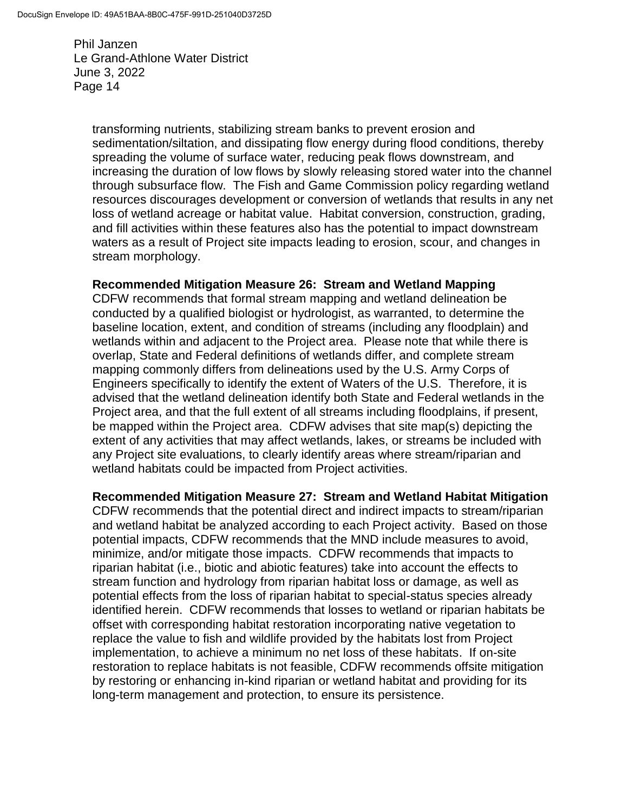> transforming nutrients, stabilizing stream banks to prevent erosion and sedimentation/siltation, and dissipating flow energy during flood conditions, thereby spreading the volume of surface water, reducing peak flows downstream, and increasing the duration of low flows by slowly releasing stored water into the channel through subsurface flow. The Fish and Game Commission policy regarding wetland resources discourages development or conversion of wetlands that results in any net loss of wetland acreage or habitat value. Habitat conversion, construction, grading, and fill activities within these features also has the potential to impact downstream waters as a result of Project site impacts leading to erosion, scour, and changes in stream morphology.

#### **Recommended Mitigation Measure 26: Stream and Wetland Mapping**

CDFW recommends that formal stream mapping and wetland delineation be conducted by a qualified biologist or hydrologist, as warranted, to determine the baseline location, extent, and condition of streams (including any floodplain) and wetlands within and adjacent to the Project area. Please note that while there is overlap, State and Federal definitions of wetlands differ, and complete stream mapping commonly differs from delineations used by the U.S. Army Corps of Engineers specifically to identify the extent of Waters of the U.S. Therefore, it is advised that the wetland delineation identify both State and Federal wetlands in the Project area, and that the full extent of all streams including floodplains, if present, be mapped within the Project area. CDFW advises that site map(s) depicting the extent of any activities that may affect wetlands, lakes, or streams be included with any Project site evaluations, to clearly identify areas where stream/riparian and wetland habitats could be impacted from Project activities.

#### **Recommended Mitigation Measure 27: Stream and Wetland Habitat Mitigation**

CDFW recommends that the potential direct and indirect impacts to stream/riparian and wetland habitat be analyzed according to each Project activity. Based on those potential impacts, CDFW recommends that the MND include measures to avoid, minimize, and/or mitigate those impacts. CDFW recommends that impacts to riparian habitat (i.e., biotic and abiotic features) take into account the effects to stream function and hydrology from riparian habitat loss or damage, as well as potential effects from the loss of riparian habitat to special-status species already identified herein. CDFW recommends that losses to wetland or riparian habitats be offset with corresponding habitat restoration incorporating native vegetation to replace the value to fish and wildlife provided by the habitats lost from Project implementation, to achieve a minimum no net loss of these habitats. If on-site restoration to replace habitats is not feasible, CDFW recommends offsite mitigation by restoring or enhancing in-kind riparian or wetland habitat and providing for its long-term management and protection, to ensure its persistence.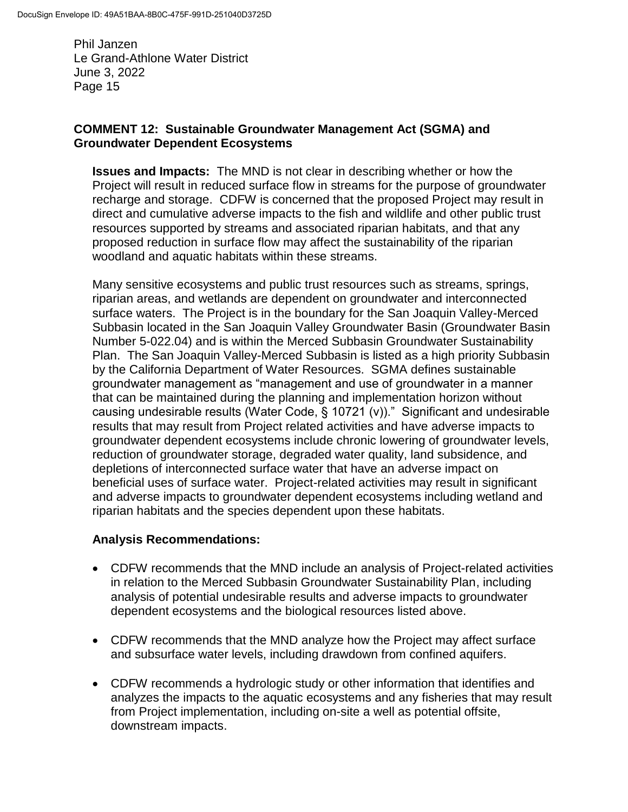### **COMMENT 12: Sustainable Groundwater Management Act (SGMA) and Groundwater Dependent Ecosystems**

**Issues and Impacts:** The MND is not clear in describing whether or how the Project will result in reduced surface flow in streams for the purpose of groundwater recharge and storage. CDFW is concerned that the proposed Project may result in direct and cumulative adverse impacts to the fish and wildlife and other public trust resources supported by streams and associated riparian habitats, and that any proposed reduction in surface flow may affect the sustainability of the riparian woodland and aquatic habitats within these streams.

Many sensitive ecosystems and public trust resources such as streams, springs, riparian areas, and wetlands are dependent on groundwater and interconnected surface waters. The Project is in the boundary for the San Joaquin Valley-Merced Subbasin located in the San Joaquin Valley Groundwater Basin (Groundwater Basin Number 5-022.04) and is within the Merced Subbasin Groundwater Sustainability Plan. The San Joaquin Valley-Merced Subbasin is listed as a high priority Subbasin by the California Department of Water Resources. SGMA defines sustainable groundwater management as "management and use of groundwater in a manner that can be maintained during the planning and implementation horizon without causing undesirable results (Water Code, § 10721 (v))." Significant and undesirable results that may result from Project related activities and have adverse impacts to groundwater dependent ecosystems include chronic lowering of groundwater levels, reduction of groundwater storage, degraded water quality, land subsidence, and depletions of interconnected surface water that have an adverse impact on beneficial uses of surface water. Project-related activities may result in significant and adverse impacts to groundwater dependent ecosystems including wetland and riparian habitats and the species dependent upon these habitats.

# **Analysis Recommendations:**

- CDFW recommends that the MND include an analysis of Project-related activities in relation to the Merced Subbasin Groundwater Sustainability Plan, including analysis of potential undesirable results and adverse impacts to groundwater dependent ecosystems and the biological resources listed above.
- CDFW recommends that the MND analyze how the Project may affect surface and subsurface water levels, including drawdown from confined aquifers.
- CDFW recommends a hydrologic study or other information that identifies and analyzes the impacts to the aquatic ecosystems and any fisheries that may result from Project implementation, including on-site a well as potential offsite, downstream impacts.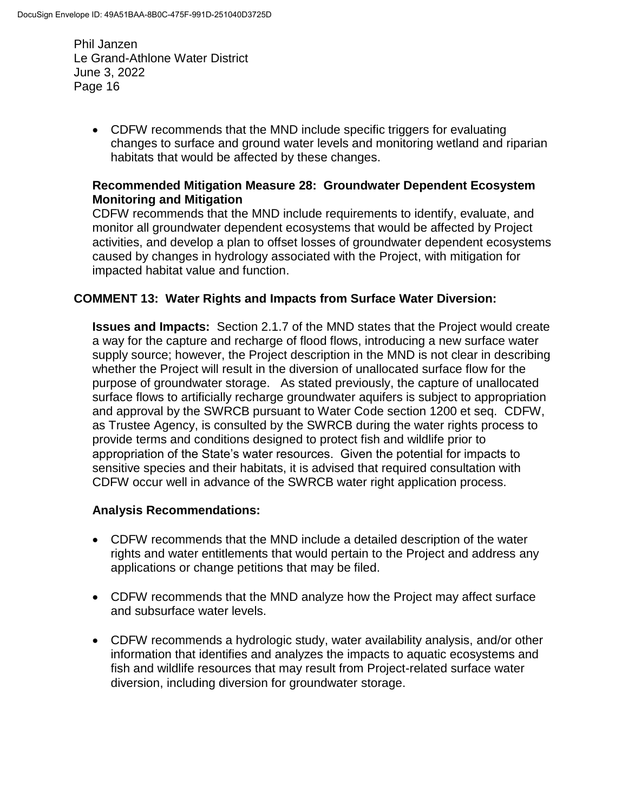> CDFW recommends that the MND include specific triggers for evaluating changes to surface and ground water levels and monitoring wetland and riparian habitats that would be affected by these changes.

### **Recommended Mitigation Measure 28: Groundwater Dependent Ecosystem Monitoring and Mitigation**

CDFW recommends that the MND include requirements to identify, evaluate, and monitor all groundwater dependent ecosystems that would be affected by Project activities, and develop a plan to offset losses of groundwater dependent ecosystems caused by changes in hydrology associated with the Project, with mitigation for impacted habitat value and function.

# **COMMENT 13: Water Rights and Impacts from Surface Water Diversion:**

**Issues and Impacts:** Section 2.1.7 of the MND states that the Project would create a way for the capture and recharge of flood flows, introducing a new surface water supply source; however, the Project description in the MND is not clear in describing whether the Project will result in the diversion of unallocated surface flow for the purpose of groundwater storage. As stated previously, the capture of unallocated surface flows to artificially recharge groundwater aquifers is subject to appropriation and approval by the SWRCB pursuant to Water Code section 1200 et seq. CDFW, as Trustee Agency, is consulted by the SWRCB during the water rights process to provide terms and conditions designed to protect fish and wildlife prior to appropriation of the State's water resources. Given the potential for impacts to sensitive species and their habitats, it is advised that required consultation with CDFW occur well in advance of the SWRCB water right application process.

### **Analysis Recommendations:**

- CDFW recommends that the MND include a detailed description of the water rights and water entitlements that would pertain to the Project and address any applications or change petitions that may be filed.
- CDFW recommends that the MND analyze how the Project may affect surface and subsurface water levels.
- CDFW recommends a hydrologic study, water availability analysis, and/or other information that identifies and analyzes the impacts to aquatic ecosystems and fish and wildlife resources that may result from Project-related surface water diversion, including diversion for groundwater storage.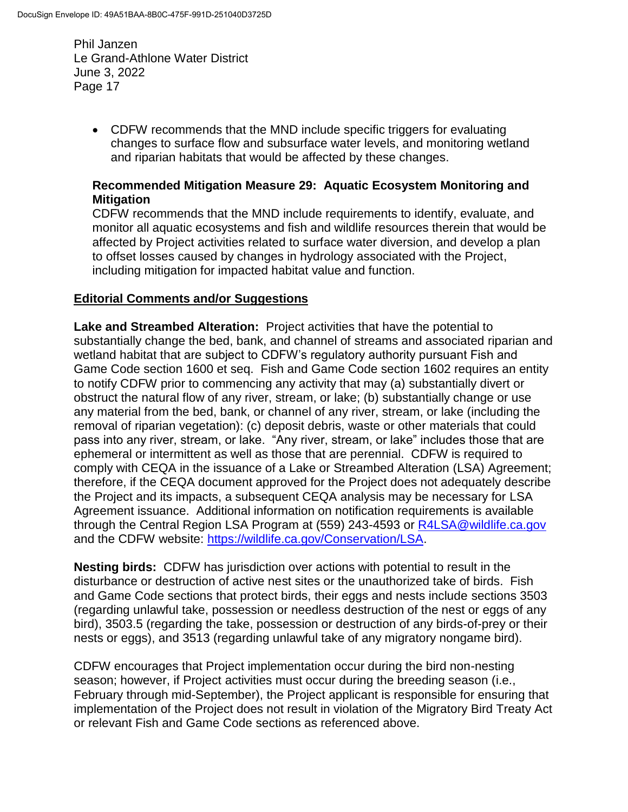> CDFW recommends that the MND include specific triggers for evaluating changes to surface flow and subsurface water levels, and monitoring wetland and riparian habitats that would be affected by these changes.

### **Recommended Mitigation Measure 29: Aquatic Ecosystem Monitoring and Mitigation**

CDFW recommends that the MND include requirements to identify, evaluate, and monitor all aquatic ecosystems and fish and wildlife resources therein that would be affected by Project activities related to surface water diversion, and develop a plan to offset losses caused by changes in hydrology associated with the Project, including mitigation for impacted habitat value and function.

### **Editorial Comments and/or Suggestions**

**Lake and Streambed Alteration:** Project activities that have the potential to substantially change the bed, bank, and channel of streams and associated riparian and wetland habitat that are subject to CDFW's regulatory authority pursuant Fish and Game Code section 1600 et seq. Fish and Game Code section 1602 requires an entity to notify CDFW prior to commencing any activity that may (a) substantially divert or obstruct the natural flow of any river, stream, or lake; (b) substantially change or use any material from the bed, bank, or channel of any river, stream, or lake (including the removal of riparian vegetation): (c) deposit debris, waste or other materials that could pass into any river, stream, or lake. "Any river, stream, or lake" includes those that are ephemeral or intermittent as well as those that are perennial. CDFW is required to comply with CEQA in the issuance of a Lake or Streambed Alteration (LSA) Agreement; therefore, if the CEQA document approved for the Project does not adequately describe the Project and its impacts, a subsequent CEQA analysis may be necessary for LSA Agreement issuance. Additional information on notification requirements is available through the Central Region LSA Program at (559) 243-4593 or [R4LSA@wildlife.ca.gov](mailto:R4LSA@wildlife.ca.gov) and the CDFW website: [https://wildlife.ca.gov/Conservation/LSA.](https://wildlife.ca.gov/Conservation/LSA)

**Nesting birds:** CDFW has jurisdiction over actions with potential to result in the disturbance or destruction of active nest sites or the unauthorized take of birds. Fish and Game Code sections that protect birds, their eggs and nests include sections 3503 (regarding unlawful take, possession or needless destruction of the nest or eggs of any bird), 3503.5 (regarding the take, possession or destruction of any birds-of-prey or their nests or eggs), and 3513 (regarding unlawful take of any migratory nongame bird).

CDFW encourages that Project implementation occur during the bird non-nesting season; however, if Project activities must occur during the breeding season (i.e., February through mid-September), the Project applicant is responsible for ensuring that implementation of the Project does not result in violation of the Migratory Bird Treaty Act or relevant Fish and Game Code sections as referenced above.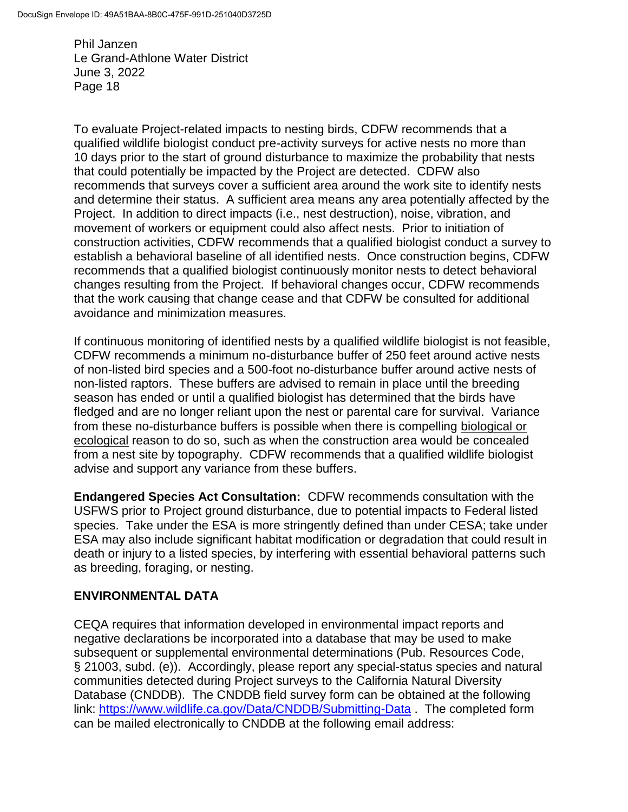To evaluate Project-related impacts to nesting birds, CDFW recommends that a qualified wildlife biologist conduct pre-activity surveys for active nests no more than 10 days prior to the start of ground disturbance to maximize the probability that nests that could potentially be impacted by the Project are detected. CDFW also recommends that surveys cover a sufficient area around the work site to identify nests and determine their status. A sufficient area means any area potentially affected by the Project. In addition to direct impacts (i.e., nest destruction), noise, vibration, and movement of workers or equipment could also affect nests. Prior to initiation of construction activities, CDFW recommends that a qualified biologist conduct a survey to establish a behavioral baseline of all identified nests. Once construction begins, CDFW recommends that a qualified biologist continuously monitor nests to detect behavioral changes resulting from the Project. If behavioral changes occur, CDFW recommends that the work causing that change cease and that CDFW be consulted for additional avoidance and minimization measures.

If continuous monitoring of identified nests by a qualified wildlife biologist is not feasible, CDFW recommends a minimum no-disturbance buffer of 250 feet around active nests of non-listed bird species and a 500-foot no-disturbance buffer around active nests of non-listed raptors. These buffers are advised to remain in place until the breeding season has ended or until a qualified biologist has determined that the birds have fledged and are no longer reliant upon the nest or parental care for survival. Variance from these no-disturbance buffers is possible when there is compelling biological or ecological reason to do so, such as when the construction area would be concealed from a nest site by topography. CDFW recommends that a qualified wildlife biologist advise and support any variance from these buffers.

**Endangered Species Act Consultation:** CDFW recommends consultation with the USFWS prior to Project ground disturbance, due to potential impacts to Federal listed species. Take under the ESA is more stringently defined than under CESA; take under ESA may also include significant habitat modification or degradation that could result in death or injury to a listed species, by interfering with essential behavioral patterns such as breeding, foraging, or nesting.

### **ENVIRONMENTAL DATA**

CEQA requires that information developed in environmental impact reports and negative declarations be incorporated into a database that may be used to make subsequent or supplemental environmental determinations (Pub. Resources Code, § 21003, subd. (e)). Accordingly, please report any special-status species and natural communities detected during Project surveys to the California Natural Diversity Database (CNDDB). The CNDDB field survey form can be obtained at the following link:<https://www.wildlife.ca.gov/Data/CNDDB/Submitting-Data>. The completed form can be mailed electronically to CNDDB at the following email address: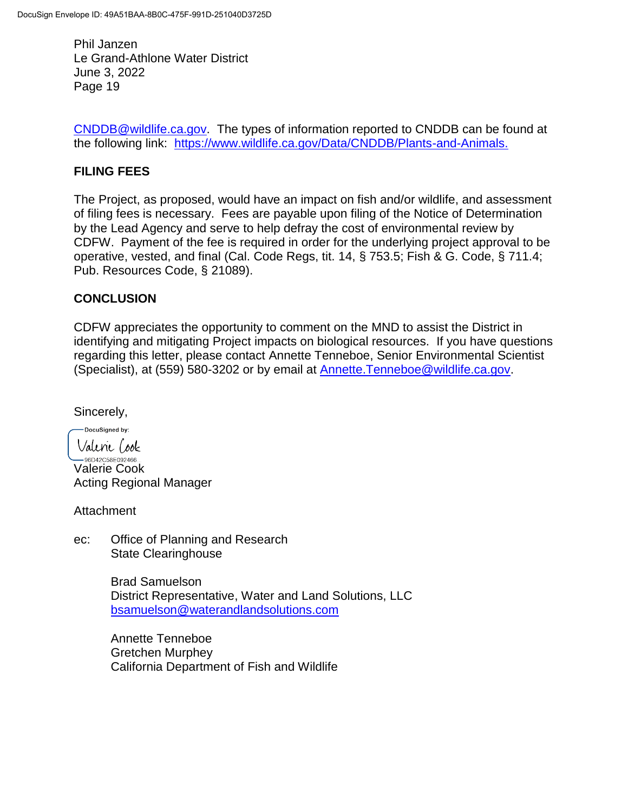[CNDDB@wildlife.ca.gov.](mailto:cnddb@dfg.ca.gov) The types of information reported to CNDDB can be found at the following link: [https://www.wildlife.ca.gov/Data/CNDDB/Plants-and-Animals.](https://www.wildlife.ca.gov/Data/CNDDB/Plants-and-Animals)

## **FILING FEES**

The Project, as proposed, would have an impact on fish and/or wildlife, and assessment of filing fees is necessary. Fees are payable upon filing of the Notice of Determination by the Lead Agency and serve to help defray the cost of environmental review by CDFW. Payment of the fee is required in order for the underlying project approval to be operative, vested, and final (Cal. Code Regs, tit. 14, § 753.5; Fish & G. Code, § 711.4; Pub. Resources Code, § 21089).

### **CONCLUSION**

CDFW appreciates the opportunity to comment on the MND to assist the District in identifying and mitigating Project impacts on biological resources. If you have questions regarding this letter, please contact Annette Tenneboe, Senior Environmental Scientist (Specialist), at (559) 580-3202 or by email at [Annette.Tenneboe@wildlife.ca.gov.](mailto:Annette.Tenneboe@wildlife.ca.gov)

Sincerely,

-DocuSigned by: Valerie Cook

<sup>— 96D42C58E092466...</sup><br>Valerie Cook Acting Regional Manager

**Attachment** 

ec: Office of Planning and Research State Clearinghouse

> Brad Samuelson District Representative, Water and Land Solutions, LLC [bsamuelson@waterandlandsolutions.com](mailto:bsamuelson@waterandlandsolutions.com)

Annette Tenneboe Gretchen Murphey California Department of Fish and Wildlife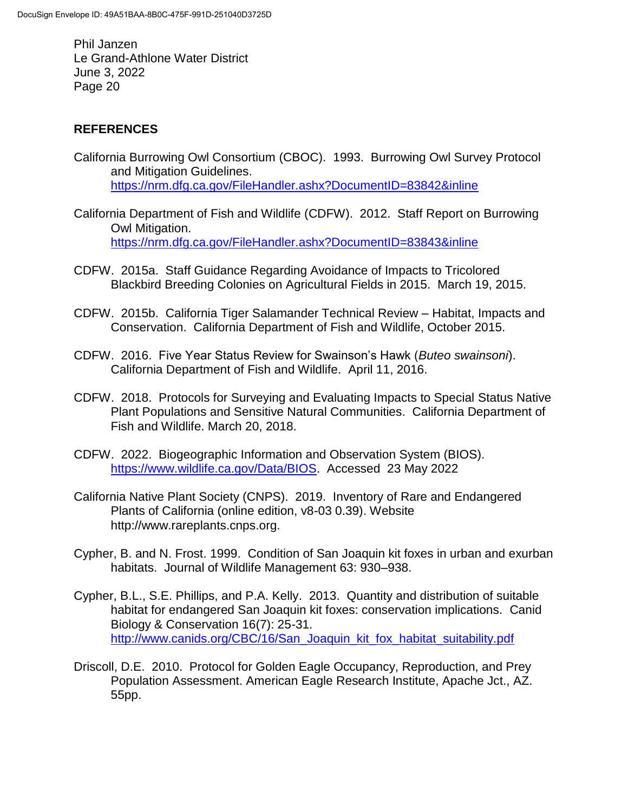## **REFERENCES**

- California Burrowing Owl Consortium (CBOC). 1993. Burrowing Owl Survey Protocol and Mitigation Guidelines. <https://nrm.dfg.ca.gov/FileHandler.ashx?DocumentID=83842&inline>
- California Department of Fish and Wildlife (CDFW). 2012. Staff Report on Burrowing Owl Mitigation. <https://nrm.dfg.ca.gov/FileHandler.ashx?DocumentID=83843&inline>
- CDFW. 2015a. Staff Guidance Regarding Avoidance of Impacts to Tricolored Blackbird Breeding Colonies on Agricultural Fields in 2015. March 19, 2015.
- CDFW. 2015b. California Tiger Salamander Technical Review Habitat, Impacts and Conservation. California Department of Fish and Wildlife, October 2015.
- CDFW. 2016. Five Year Status Review for Swainson's Hawk (*Buteo swainsoni*). California Department of Fish and Wildlife. April 11, 2016.
- CDFW. 2018. Protocols for Surveying and Evaluating Impacts to Special Status Native Plant Populations and Sensitive Natural Communities. California Department of Fish and Wildlife. March 20, 2018.
- CDFW. 2022. Biogeographic Information and Observation System (BIOS). [https://www.wildlife.ca.gov/Data/BIOS.](https://www.wildlife.ca.gov/Data/BIOS) Accessed 23 May 2022
- California Native Plant Society (CNPS). 2019. Inventory of Rare and Endangered Plants of California (online edition, v8-03 0.39). Website http://www.rareplants.cnps.org.
- Cypher, B. and N. Frost. 1999. Condition of San Joaquin kit foxes in urban and exurban habitats. Journal of Wildlife Management 63: 930–938.
- Cypher, B.L., S.E. Phillips, and P.A. Kelly. 2013. Quantity and distribution of suitable habitat for endangered San Joaquin kit foxes: conservation implications. Canid Biology & Conservation 16(7): 25-31. [http://www.canids.org/CBC/16/San\\_Joaquin\\_kit\\_fox\\_habitat\\_suitability.pdf](http://www.canids.org/CBC/16/San_Joaquin_kit_fox_habitat_suitability.pdf)
- Driscoll, D.E. 2010. Protocol for Golden Eagle Occupancy, Reproduction, and Prey Population Assessment. American Eagle Research Institute, Apache Jct., AZ. 55pp.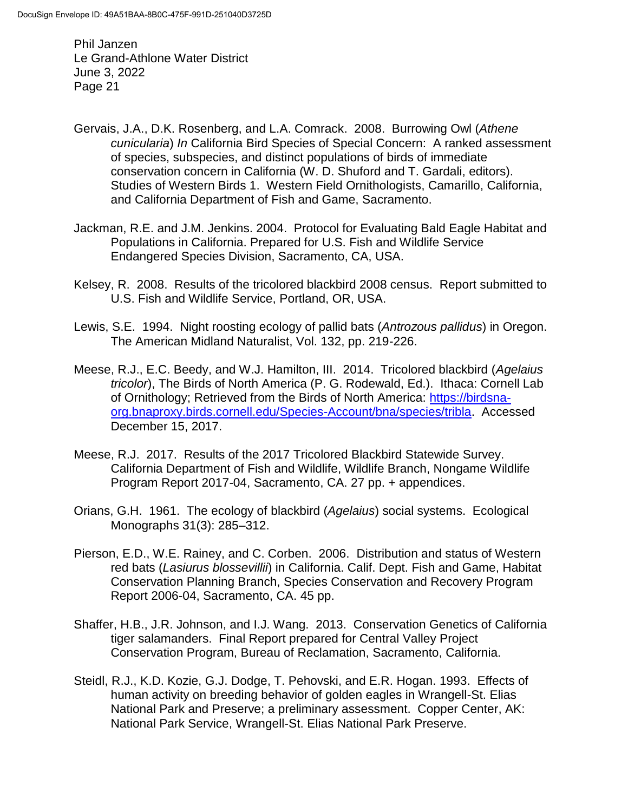- Gervais, J.A., D.K. Rosenberg, and L.A. Comrack. 2008. Burrowing Owl (*Athene cunicularia*) *In* California Bird Species of Special Concern: A ranked assessment of species, subspecies, and distinct populations of birds of immediate conservation concern in California (W. D. Shuford and T. Gardali, editors). Studies of Western Birds 1. Western Field Ornithologists, Camarillo, California, and California Department of Fish and Game, Sacramento.
- Jackman, R.E. and J.M. Jenkins. 2004. Protocol for Evaluating Bald Eagle Habitat and Populations in California. Prepared for U.S. Fish and Wildlife Service Endangered Species Division, Sacramento, CA, USA.
- Kelsey, R. 2008. Results of the tricolored blackbird 2008 census. Report submitted to U.S. Fish and Wildlife Service, Portland, OR, USA.
- Lewis, S.E. 1994. Night roosting ecology of pallid bats (*Antrozous pallidus*) in Oregon. The American Midland Naturalist, Vol. 132, pp. 219-226.
- Meese, R.J., E.C. Beedy, and W.J. Hamilton, III. 2014. Tricolored blackbird (*Agelaius tricolor*), The Birds of North America (P. G. Rodewald, Ed.). Ithaca: Cornell Lab of Ornithology; Retrieved from the Birds of North America: [https://birdsna](https://birdsna-org.bnaproxy.birds.cornell.edu/Species-Account/bna/species/tribla)[org.bnaproxy.birds.cornell.edu/Species-Account/bna/species/tribla.](https://birdsna-org.bnaproxy.birds.cornell.edu/Species-Account/bna/species/tribla) Accessed December 15, 2017.
- Meese, R.J. 2017. Results of the 2017 Tricolored Blackbird Statewide Survey. California Department of Fish and Wildlife, Wildlife Branch, Nongame Wildlife Program Report 2017-04, Sacramento, CA. 27 pp. + appendices.
- Orians, G.H. 1961. The ecology of blackbird (*Agelaius*) social systems. Ecological Monographs 31(3): 285–312.
- Pierson, E.D., W.E. Rainey, and C. Corben. 2006. Distribution and status of Western red bats (*Lasiurus blossevillii*) in California. Calif. Dept. Fish and Game, Habitat Conservation Planning Branch, Species Conservation and Recovery Program Report 2006-04, Sacramento, CA. 45 pp.
- Shaffer, H.B., J.R. Johnson, and I.J. Wang. 2013. Conservation Genetics of California tiger salamanders. Final Report prepared for Central Valley Project Conservation Program, Bureau of Reclamation, Sacramento, California.
- Steidl, R.J., K.D. Kozie, G.J. Dodge, T. Pehovski, and E.R. Hogan. 1993. Effects of human activity on breeding behavior of golden eagles in Wrangell-St. Elias National Park and Preserve; a preliminary assessment. Copper Center, AK: National Park Service, Wrangell-St. Elias National Park Preserve.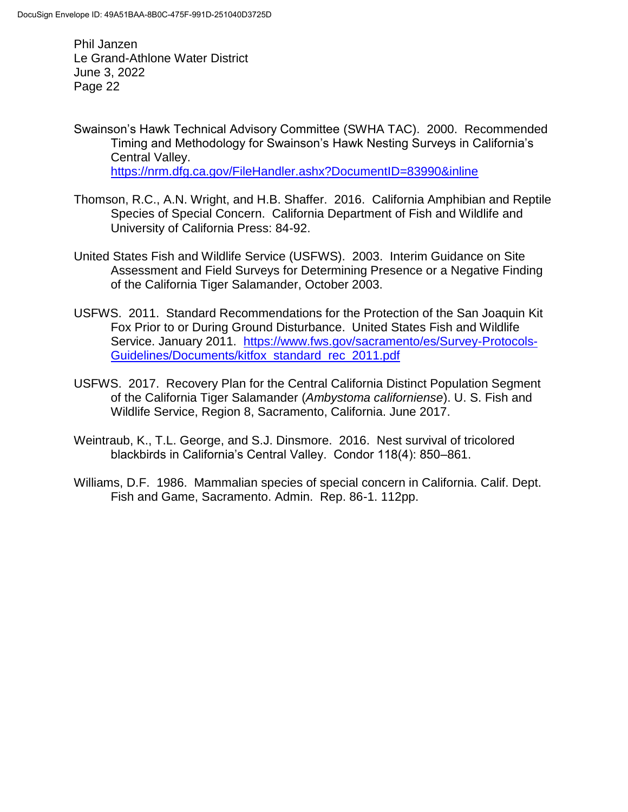- Swainson's Hawk Technical Advisory Committee (SWHA TAC). 2000. Recommended Timing and Methodology for Swainson's Hawk Nesting Surveys in California's Central Valley. <https://nrm.dfg.ca.gov/FileHandler.ashx?DocumentID=83990&inline>
- Thomson, R.C., A.N. Wright, and H.B. Shaffer. 2016. California Amphibian and Reptile Species of Special Concern. California Department of Fish and Wildlife and University of California Press: 84-92.
- United States Fish and Wildlife Service (USFWS). 2003. Interim Guidance on Site Assessment and Field Surveys for Determining Presence or a Negative Finding of the California Tiger Salamander, October 2003.
- USFWS. 2011. Standard Recommendations for the Protection of the San Joaquin Kit Fox Prior to or During Ground Disturbance. United States Fish and Wildlife Service. January 2011. [https://www.fws.gov/sacramento/es/Survey-Protocols-](https://www.fws.gov/sacramento/es/Survey-Protocols-Guidelines/Documents/kitfox_standard_rec_2011.pdf)[Guidelines/Documents/kitfox\\_standard\\_rec\\_2011.pdf](https://www.fws.gov/sacramento/es/Survey-Protocols-Guidelines/Documents/kitfox_standard_rec_2011.pdf)
- USFWS. 2017. Recovery Plan for the Central California Distinct Population Segment of the California Tiger Salamander (*Ambystoma californiense*). U. S. Fish and Wildlife Service, Region 8, Sacramento, California. June 2017.
- Weintraub, K., T.L. George, and S.J. Dinsmore. 2016. Nest survival of tricolored blackbirds in California's Central Valley. Condor 118(4): 850–861.
- Williams, D.F. 1986. Mammalian species of special concern in California. Calif. Dept. Fish and Game, Sacramento. Admin. Rep. 86-1. 112pp.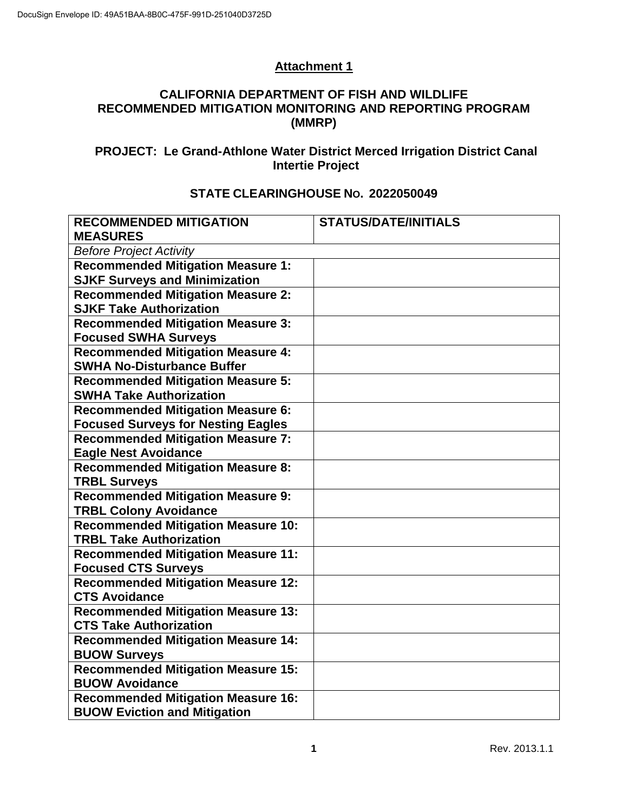# **Attachment 1**

### **CALIFORNIA DEPARTMENT OF FISH AND WILDLIFE RECOMMENDED MITIGATION MONITORING AND REPORTING PROGRAM (MMRP)**

# **PROJECT: Le Grand-Athlone Water District Merced Irrigation District Canal Intertie Project**

### **STATE CLEARINGHOUSE NO. 2022050049**

| <b>RECOMMENDED MITIGATION</b>                                              | <b>STATUS/DATE/INITIALS</b> |  |  |  |
|----------------------------------------------------------------------------|-----------------------------|--|--|--|
| <b>MEASURES</b>                                                            |                             |  |  |  |
| <b>Before Project Activity</b>                                             |                             |  |  |  |
| <b>Recommended Mitigation Measure 1:</b>                                   |                             |  |  |  |
| <b>SJKF Surveys and Minimization</b>                                       |                             |  |  |  |
| <b>Recommended Mitigation Measure 2:</b>                                   |                             |  |  |  |
| <b>SJKF Take Authorization</b>                                             |                             |  |  |  |
| <b>Recommended Mitigation Measure 3:</b>                                   |                             |  |  |  |
| <b>Focused SWHA Surveys</b>                                                |                             |  |  |  |
| <b>Recommended Mitigation Measure 4:</b>                                   |                             |  |  |  |
| <b>SWHA No-Disturbance Buffer</b>                                          |                             |  |  |  |
| <b>Recommended Mitigation Measure 5:</b>                                   |                             |  |  |  |
| <b>SWHA Take Authorization</b>                                             |                             |  |  |  |
| <b>Recommended Mitigation Measure 6:</b>                                   |                             |  |  |  |
| <b>Focused Surveys for Nesting Eagles</b>                                  |                             |  |  |  |
| <b>Recommended Mitigation Measure 7:</b>                                   |                             |  |  |  |
| <b>Eagle Nest Avoidance</b>                                                |                             |  |  |  |
| <b>Recommended Mitigation Measure 8:</b>                                   |                             |  |  |  |
| <b>TRBL Surveys</b>                                                        |                             |  |  |  |
| <b>Recommended Mitigation Measure 9:</b>                                   |                             |  |  |  |
| <b>TRBL Colony Avoidance</b>                                               |                             |  |  |  |
| <b>Recommended Mitigation Measure 10:</b>                                  |                             |  |  |  |
| <b>TRBL Take Authorization</b>                                             |                             |  |  |  |
| <b>Recommended Mitigation Measure 11:</b>                                  |                             |  |  |  |
| <b>Focused CTS Surveys</b>                                                 |                             |  |  |  |
| <b>Recommended Mitigation Measure 12:</b>                                  |                             |  |  |  |
| <b>CTS Avoidance</b>                                                       |                             |  |  |  |
| <b>Recommended Mitigation Measure 13:</b><br><b>CTS Take Authorization</b> |                             |  |  |  |
|                                                                            |                             |  |  |  |
| <b>Recommended Mitigation Measure 14:</b><br><b>BUOW Surveys</b>           |                             |  |  |  |
| <b>Recommended Mitigation Measure 15:</b>                                  |                             |  |  |  |
| <b>BUOW Avoidance</b>                                                      |                             |  |  |  |
| <b>Recommended Mitigation Measure 16:</b>                                  |                             |  |  |  |
| <b>BUOW Eviction and Mitigation</b>                                        |                             |  |  |  |
|                                                                            |                             |  |  |  |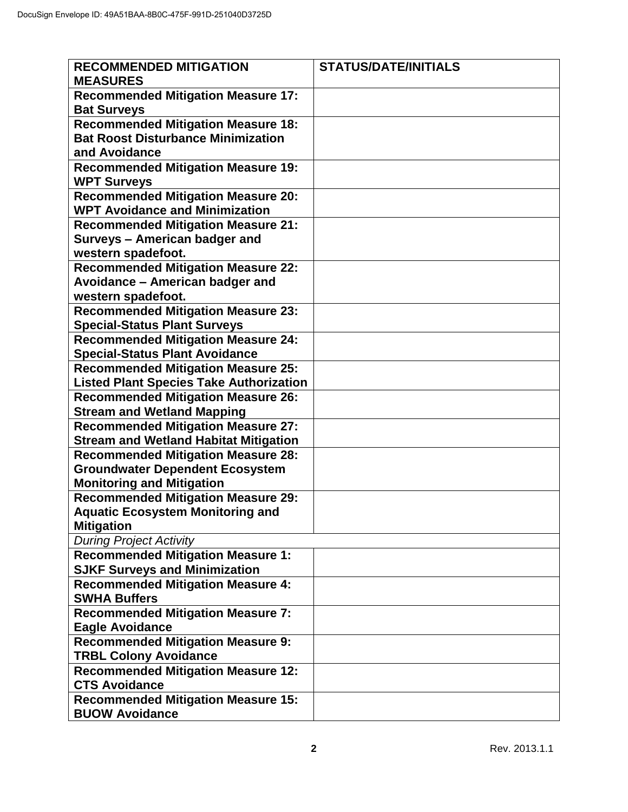| <b>RECOMMENDED MITIGATION</b>                  | <b>STATUS/DATE/INITIALS</b> |
|------------------------------------------------|-----------------------------|
| <b>MEASURES</b>                                |                             |
| <b>Recommended Mitigation Measure 17:</b>      |                             |
| <b>Bat Surveys</b>                             |                             |
| <b>Recommended Mitigation Measure 18:</b>      |                             |
| <b>Bat Roost Disturbance Minimization</b>      |                             |
| and Avoidance                                  |                             |
| <b>Recommended Mitigation Measure 19:</b>      |                             |
| <b>WPT Surveys</b>                             |                             |
| <b>Recommended Mitigation Measure 20:</b>      |                             |
| <b>WPT Avoidance and Minimization</b>          |                             |
| <b>Recommended Mitigation Measure 21:</b>      |                             |
| Surveys - American badger and                  |                             |
| western spadefoot.                             |                             |
| <b>Recommended Mitigation Measure 22:</b>      |                             |
| Avoidance - American badger and                |                             |
| western spadefoot.                             |                             |
| <b>Recommended Mitigation Measure 23:</b>      |                             |
| <b>Special-Status Plant Surveys</b>            |                             |
| <b>Recommended Mitigation Measure 24:</b>      |                             |
| <b>Special-Status Plant Avoidance</b>          |                             |
| <b>Recommended Mitigation Measure 25:</b>      |                             |
| <b>Listed Plant Species Take Authorization</b> |                             |
| <b>Recommended Mitigation Measure 26:</b>      |                             |
| <b>Stream and Wetland Mapping</b>              |                             |
| <b>Recommended Mitigation Measure 27:</b>      |                             |
| <b>Stream and Wetland Habitat Mitigation</b>   |                             |
| <b>Recommended Mitigation Measure 28:</b>      |                             |
| <b>Groundwater Dependent Ecosystem</b>         |                             |
| <b>Monitoring and Mitigation</b>               |                             |
| <b>Recommended Mitigation Measure 29:</b>      |                             |
| <b>Aquatic Ecosystem Monitoring and</b>        |                             |
| <b>Mitigation</b>                              |                             |
| <b>During Project Activity</b>                 |                             |
| <b>Recommended Mitigation Measure 1:</b>       |                             |
| <b>SJKF Surveys and Minimization</b>           |                             |
| <b>Recommended Mitigation Measure 4:</b>       |                             |
| <b>SWHA Buffers</b>                            |                             |
| <b>Recommended Mitigation Measure 7:</b>       |                             |
| <b>Eagle Avoidance</b>                         |                             |
| <b>Recommended Mitigation Measure 9:</b>       |                             |
| <b>TRBL Colony Avoidance</b>                   |                             |
| <b>Recommended Mitigation Measure 12:</b>      |                             |
| <b>CTS Avoidance</b>                           |                             |
| <b>Recommended Mitigation Measure 15:</b>      |                             |
| <b>BUOW Avoidance</b>                          |                             |